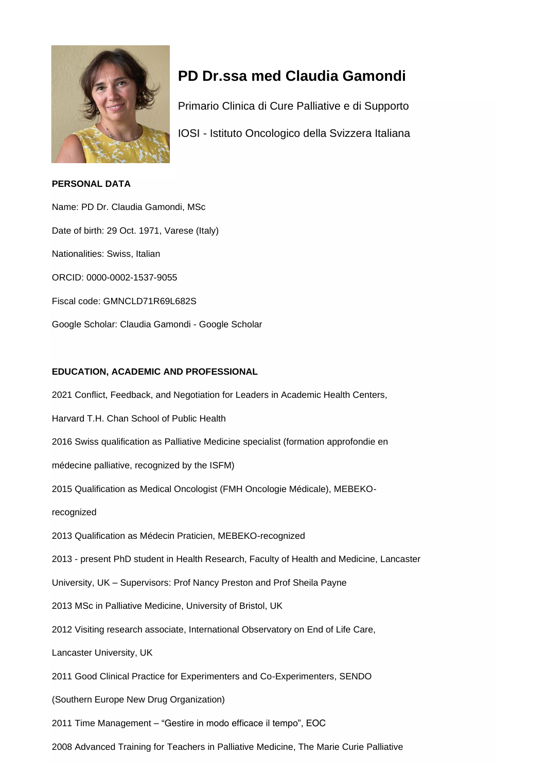

# **PD Dr.ssa med Claudia Gamondi**

Primario Clinica di Cure Palliative e di Supporto

IOSI - Istituto Oncologico della Svizzera Italiana

## **PERSONAL DATA**

Name: PD Dr. Claudia Gamondi, MSc Date of birth: 29 Oct. 1971, Varese (Italy) Nationalities: Swiss, Italian ORCID: 0000-0002-1537-9055 Fiscal code: GMNCLD71R69L682S Google Scholar: Claudia Gamondi - Google Scholar

# **EDUCATION, ACADEMIC AND PROFESSIONAL**

2021 Conflict, Feedback, and Negotiation for Leaders in Academic Health Centers, Harvard T.H. Chan School of Public Health 2016 Swiss qualification as Palliative Medicine specialist (formation approfondie en médecine palliative, recognized by the ISFM) 2015 Qualification as Medical Oncologist (FMH Oncologie Médicale), MEBEKOrecognized 2013 Qualification as Médecin Praticien, MEBEKO-recognized 2013 - present PhD student in Health Research, Faculty of Health and Medicine, Lancaster University, UK – Supervisors: Prof Nancy Preston and Prof Sheila Payne 2013 MSc in Palliative Medicine, University of Bristol, UK 2012 Visiting research associate, International Observatory on End of Life Care, Lancaster University, UK 2011 Good Clinical Practice for Experimenters and Co-Experimenters, SENDO (Southern Europe New Drug Organization) 2011 Time Management – "Gestire in modo efficace il tempo", EOC 2008 Advanced Training for Teachers in Palliative Medicine, The Marie Curie Palliative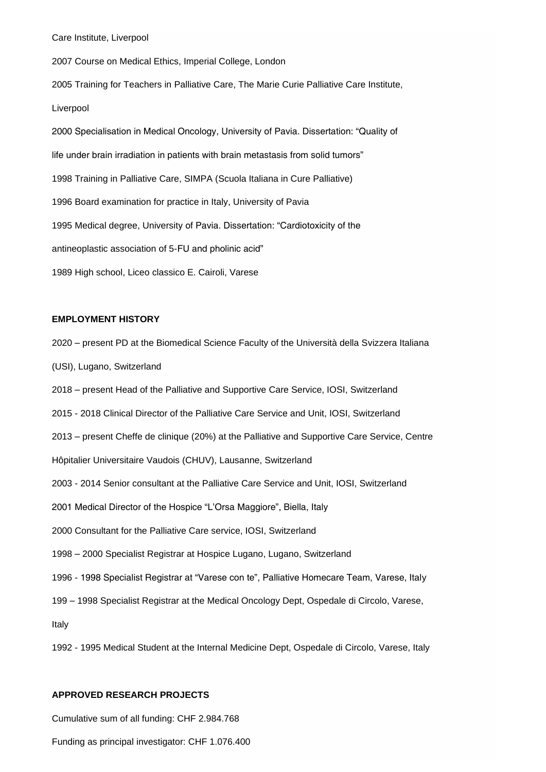Care Institute, Liverpool

2007 Course on Medical Ethics, Imperial College, London 2005 Training for Teachers in Palliative Care, The Marie Curie Palliative Care Institute, Liverpool 2000 Specialisation in Medical Oncology, University of Pavia. Dissertation: "Quality of life under brain irradiation in patients with brain metastasis from solid tumors" 1998 Training in Palliative Care, SIMPA (Scuola Italiana in Cure Palliative) 1996 Board examination for practice in Italy, University of Pavia 1995 Medical degree, University of Pavia. Dissertation: "Cardiotoxicity of the antineoplastic association of 5-FU and pholinic acid" 1989 High school, Liceo classico E. Cairoli, Varese

## **EMPLOYMENT HISTORY**

- 2020 present PD at the Biomedical Science Faculty of the Università della Svizzera Italiana
- (USI), Lugano, Switzerland
- 2018 present Head of the Palliative and Supportive Care Service, IOSI, Switzerland
- 2015 2018 Clinical Director of the Palliative Care Service and Unit, IOSI, Switzerland
- 2013 present Cheffe de clinique (20%) at the Palliative and Supportive Care Service, Centre
- Hôpitalier Universitaire Vaudois (CHUV), Lausanne, Switzerland
- 2003 2014 Senior consultant at the Palliative Care Service and Unit, IOSI, Switzerland
- 2001 Medical Director of the Hospice "L'Orsa Maggiore", Biella, Italy
- 2000 Consultant for the Palliative Care service, IOSI, Switzerland
- 1998 2000 Specialist Registrar at Hospice Lugano, Lugano, Switzerland
- 1996 1998 Specialist Registrar at "Varese con te", Palliative Homecare Team, Varese, Italy
- 199 1998 Specialist Registrar at the Medical Oncology Dept, Ospedale di Circolo, Varese,

Italy

1992 - 1995 Medical Student at the Internal Medicine Dept, Ospedale di Circolo, Varese, Italy

#### **APPROVED RESEARCH PROJECTS**

Cumulative sum of all funding: CHF 2.984.768

Funding as principal investigator: CHF 1.076.400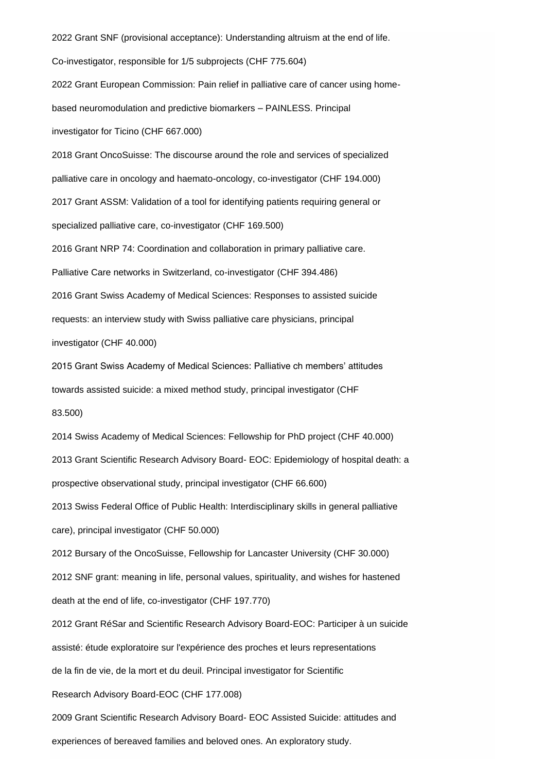2022 Grant SNF (provisional acceptance): Understanding altruism at the end of life. Co-investigator, responsible for 1/5 subprojects (CHF 775.604) 2022 Grant European Commission: Pain relief in palliative care of cancer using homebased neuromodulation and predictive biomarkers – PAINLESS. Principal investigator for Ticino (CHF 667.000) 2018 Grant OncoSuisse: The discourse around the role and services of specialized palliative care in oncology and haemato-oncology, co-investigator (CHF 194.000) 2017 Grant ASSM: Validation of a tool for identifying patients requiring general or specialized palliative care, co-investigator (CHF 169.500) 2016 Grant NRP 74: Coordination and collaboration in primary palliative care. Palliative Care networks in Switzerland, co-investigator (CHF 394.486) 2016 Grant Swiss Academy of Medical Sciences: Responses to assisted suicide requests: an interview study with Swiss palliative care physicians, principal investigator (CHF 40.000) 2015 Grant Swiss Academy of Medical Sciences: Palliative ch members' attitudes towards assisted suicide: a mixed method study, principal investigator (CHF 83.500) 2014 Swiss Academy of Medical Sciences: Fellowship for PhD project (CHF 40.000) 2013 Grant Scientific Research Advisory Board- EOC: Epidemiology of hospital death: a prospective observational study, principal investigator (CHF 66.600) 2013 Swiss Federal Office of Public Health: Interdisciplinary skills in general palliative care), principal investigator (CHF 50.000) 2012 Bursary of the OncoSuisse, Fellowship for Lancaster University (CHF 30.000) 2012 SNF grant: meaning in life, personal values, spirituality, and wishes for hastened death at the end of life, co-investigator (CHF 197.770) 2012 Grant RéSar and Scientific Research Advisory Board-EOC: Participer à un suicide assisté: étude exploratoire sur l'expérience des proches et leurs representations de la fin de vie, de la mort et du deuil. Principal investigator for Scientific

Research Advisory Board-EOC (CHF 177.008)

2009 Grant Scientific Research Advisory Board- EOC Assisted Suicide: attitudes and experiences of bereaved families and beloved ones. An exploratory study.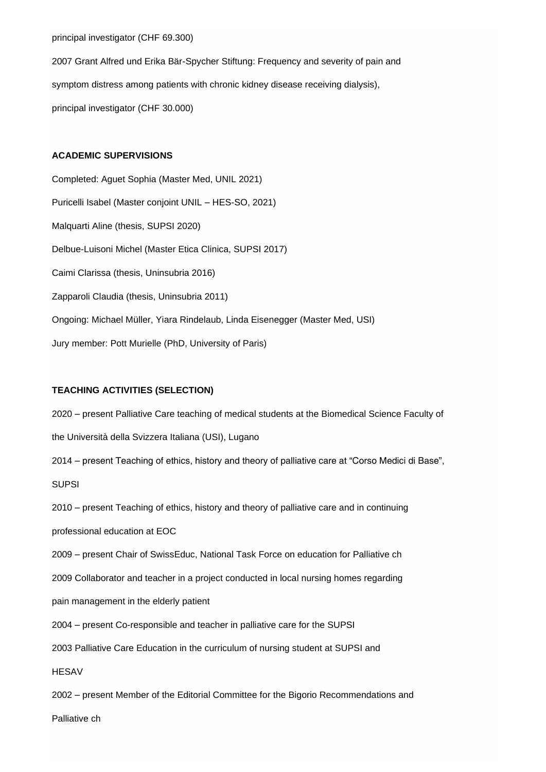## principal investigator (CHF 69.300)

2007 Grant Alfred und Erika Bär-Spycher Stiftung: Frequency and severity of pain and symptom distress among patients with chronic kidney disease receiving dialysis), principal investigator (CHF 30.000)

## **ACADEMIC SUPERVISIONS**

Completed: Aguet Sophia (Master Med, UNIL 2021) Puricelli Isabel (Master conjoint UNIL – HES-SO, 2021) Malquarti Aline (thesis, SUPSI 2020) Delbue-Luisoni Michel (Master Etica Clinica, SUPSI 2017) Caimi Clarissa (thesis, Uninsubria 2016) Zapparoli Claudia (thesis, Uninsubria 2011) Ongoing: Michael Müller, Yiara Rindelaub, Linda Eisenegger (Master Med, USI) Jury member: Pott Murielle (PhD, University of Paris)

## **TEACHING ACTIVITIES (SELECTION)**

2020 – present Palliative Care teaching of medical students at the Biomedical Science Faculty of the Università della Svizzera Italiana (USI), Lugano 2014 – present Teaching of ethics, history and theory of palliative care at "Corso Medici di Base", **SUPSI** 2010 – present Teaching of ethics, history and theory of palliative care and in continuing professional education at EOC 2009 – present Chair of SwissEduc, National Task Force on education for Palliative ch 2009 Collaborator and teacher in a project conducted in local nursing homes regarding pain management in the elderly patient 2004 – present Co-responsible and teacher in palliative care for the SUPSI 2003 Palliative Care Education in the curriculum of nursing student at SUPSI and **HESAV** 2002 – present Member of the Editorial Committee for the Bigorio Recommendations and Palliative ch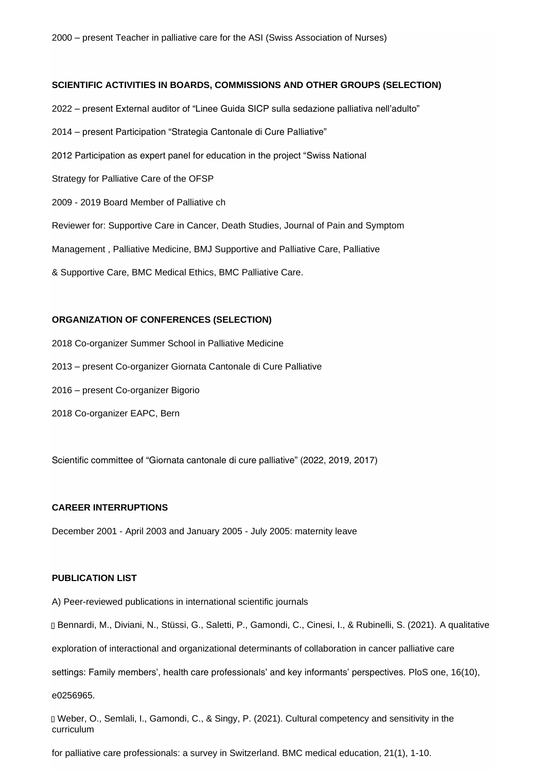### **SCIENTIFIC ACTIVITIES IN BOARDS, COMMISSIONS AND OTHER GROUPS (SELECTION)**

- 2022 present External auditor of "Linee Guida SICP sulla sedazione palliativa nell'adulto"
- 2014 present Participation "Strategia Cantonale di Cure Palliative"
- 2012 Participation as expert panel for education in the project "Swiss National
- Strategy for Palliative Care of the OFSP
- 2009 2019 Board Member of Palliative ch
- Reviewer for: Supportive Care in Cancer, Death Studies, Journal of Pain and Symptom

Management , Palliative Medicine, BMJ Supportive and Palliative Care, Palliative

& Supportive Care, BMC Medical Ethics, BMC Palliative Care.

## **ORGANIZATION OF CONFERENCES (SELECTION)**

- 2018 Co-organizer Summer School in Palliative Medicine
- 2013 present Co-organizer Giornata Cantonale di Cure Palliative
- 2016 present Co-organizer Bigorio
- 2018 Co-organizer EAPC, Bern

Scientific committee of "Giornata cantonale di cure palliative" (2022, 2019, 2017)

## **CAREER INTERRUPTIONS**

December 2001 - April 2003 and January 2005 - July 2005: maternity leave

### **PUBLICATION LIST**

A) Peer-reviewed publications in international scientific journals

Bennardi, M., Diviani, N., Stüssi, G., Saletti, P., Gamondi, C., Cinesi, I., & Rubinelli, S. (2021). A qualitative

exploration of interactional and organizational determinants of collaboration in cancer palliative care

settings: Family members', health care professionals' and key informants' perspectives. PloS one, 16(10),

e0256965.

D Weber, O., Semlali, I., Gamondi, C., & Singy, P. (2021). Cultural competency and sensitivity in the curriculum

for palliative care professionals: a survey in Switzerland. BMC medical education, 21(1), 1-10.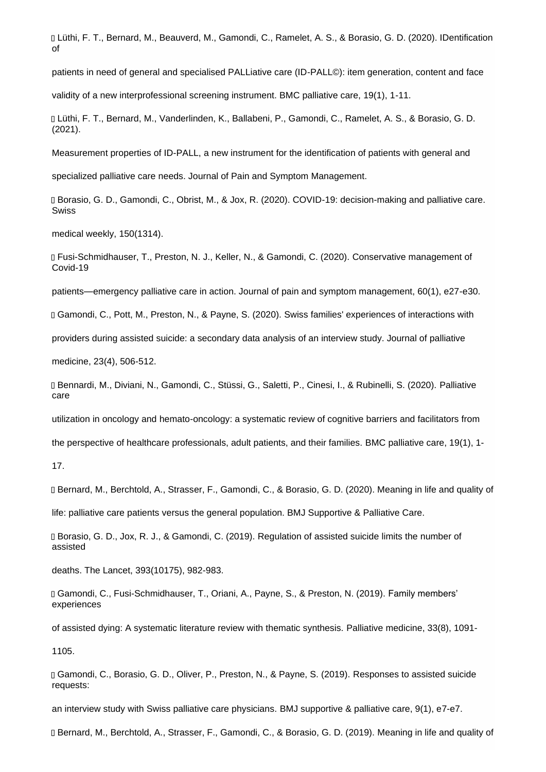Lüthi, F. T., Bernard, M., Beauverd, M., Gamondi, C., Ramelet, A. S., & Borasio, G. D. (2020). IDentification of

patients in need of general and specialised PALLiative care (ID-PALL©): item generation, content and face

validity of a new interprofessional screening instrument. BMC palliative care, 19(1), 1-11.

Lüthi, F. T., Bernard, M., Vanderlinden, K., Ballabeni, P., Gamondi, C., Ramelet, A. S., & Borasio, G. D. (2021).

Measurement properties of ID-PALL, a new instrument for the identification of patients with general and

specialized palliative care needs. Journal of Pain and Symptom Management.

Borasio, G. D., Gamondi, C., Obrist, M., & Jox, R. (2020). COVID-19: decision-making and palliative care. Swiss

medical weekly, 150(1314).

Fusi-Schmidhauser, T., Preston, N. J., Keller, N., & Gamondi, C. (2020). Conservative management of Covid-19

patients—emergency palliative care in action. Journal of pain and symptom management, 60(1), e27-e30.

Gamondi, C., Pott, M., Preston, N., & Payne, S. (2020). Swiss families' experiences of interactions with

providers during assisted suicide: a secondary data analysis of an interview study. Journal of palliative

medicine, 23(4), 506-512.

Bennardi, M., Diviani, N., Gamondi, C., Stüssi, G., Saletti, P., Cinesi, I., & Rubinelli, S. (2020). Palliative care

utilization in oncology and hemato-oncology: a systematic review of cognitive barriers and facilitators from

the perspective of healthcare professionals, adult patients, and their families. BMC palliative care, 19(1), 1-

17.

Bernard, M., Berchtold, A., Strasser, F., Gamondi, C., & Borasio, G. D. (2020). Meaning in life and quality of

life: palliative care patients versus the general population. BMJ Supportive & Palliative Care.

Borasio, G. D., Jox, R. J., & Gamondi, C. (2019). Regulation of assisted suicide limits the number of assisted

deaths. The Lancet, 393(10175), 982-983.

Gamondi, C., Fusi-Schmidhauser, T., Oriani, A., Payne, S., & Preston, N. (2019). Family members' experiences

of assisted dying: A systematic literature review with thematic synthesis. Palliative medicine, 33(8), 1091-

1105.

Gamondi, C., Borasio, G. D., Oliver, P., Preston, N., & Payne, S. (2019). Responses to assisted suicide requests:

an interview study with Swiss palliative care physicians. BMJ supportive & palliative care, 9(1), e7-e7.

Bernard, M., Berchtold, A., Strasser, F., Gamondi, C., & Borasio, G. D. (2019). Meaning in life and quality of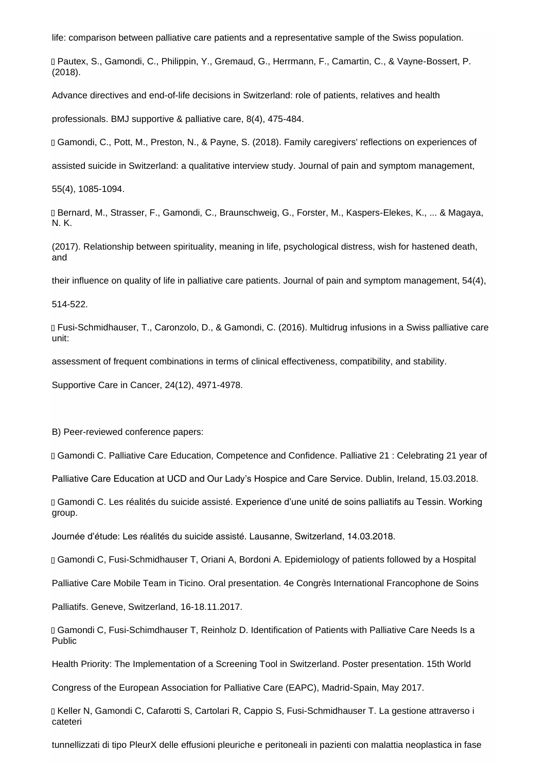life: comparison between palliative care patients and a representative sample of the Swiss population.

Pautex, S., Gamondi, C., Philippin, Y., Gremaud, G., Herrmann, F., Camartin, C., & Vayne-Bossert, P. (2018).

Advance directives and end-of-life decisions in Switzerland: role of patients, relatives and health

professionals. BMJ supportive & palliative care, 8(4), 475-484.

Gamondi, C., Pott, M., Preston, N., & Payne, S. (2018). Family caregivers' reflections on experiences of

assisted suicide in Switzerland: a qualitative interview study. Journal of pain and symptom management,

55(4), 1085-1094.

Bernard, M., Strasser, F., Gamondi, C., Braunschweig, G., Forster, M., Kaspers-Elekes, K., ... & Magaya, N. K.

(2017). Relationship between spirituality, meaning in life, psychological distress, wish for hastened death, and

their influence on quality of life in palliative care patients. Journal of pain and symptom management, 54(4),

514-522.

Fusi-Schmidhauser, T., Caronzolo, D., & Gamondi, C. (2016). Multidrug infusions in a Swiss palliative care unit:

assessment of frequent combinations in terms of clinical effectiveness, compatibility, and stability.

Supportive Care in Cancer, 24(12), 4971-4978.

B) Peer-reviewed conference papers:

Gamondi C. Palliative Care Education, Competence and Confidence. Palliative 21 : Celebrating 21 year of

Palliative Care Education at UCD and Our Lady's Hospice and Care Service. Dublin, Ireland, 15.03.2018.

Gamondi C. Les réalités du suicide assisté. Experience d'une unité de soins palliatifs au Tessin. Working group.

Journée d'étude: Les réalités du suicide assisté. Lausanne, Switzerland, 14.03.2018.

Gamondi C, Fusi-Schmidhauser T, Oriani A, Bordoni A. Epidemiology of patients followed by a Hospital

Palliative Care Mobile Team in Ticino. Oral presentation. 4e Congrès International Francophone de Soins

Palliatifs. Geneve, Switzerland, 16-18.11.2017.

Gamondi C, Fusi-Schimdhauser T, Reinholz D. Identification of Patients with Palliative Care Needs Is a Public

Health Priority: The Implementation of a Screening Tool in Switzerland. Poster presentation. 15th World

Congress of the European Association for Palliative Care (EAPC), Madrid-Spain, May 2017.

D Keller N, Gamondi C, Cafarotti S, Cartolari R, Cappio S, Fusi-Schmidhauser T. La gestione attraverso i cateteri

tunnellizzati di tipo PleurX delle effusioni pleuriche e peritoneali in pazienti con malattia neoplastica in fase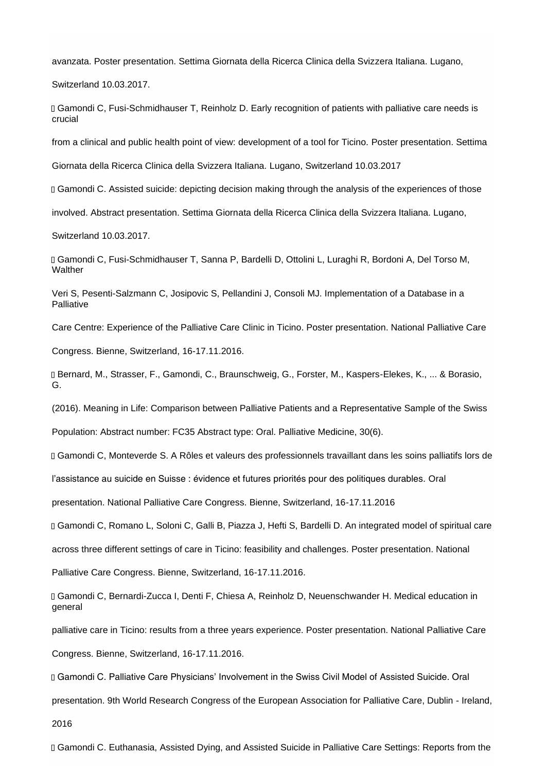avanzata. Poster presentation. Settima Giornata della Ricerca Clinica della Svizzera Italiana. Lugano,

Switzerland 10.03.2017.

Gamondi C, Fusi-Schmidhauser T, Reinholz D. Early recognition of patients with palliative care needs is crucial

from a clinical and public health point of view: development of a tool for Ticino. Poster presentation. Settima

Giornata della Ricerca Clinica della Svizzera Italiana. Lugano, Switzerland 10.03.2017

Gamondi C. Assisted suicide: depicting decision making through the analysis of the experiences of those

involved. Abstract presentation. Settima Giornata della Ricerca Clinica della Svizzera Italiana. Lugano,

Switzerland 10.03.2017.

Gamondi C, Fusi-Schmidhauser T, Sanna P, Bardelli D, Ottolini L, Luraghi R, Bordoni A, Del Torso M, **Walther** 

Veri S, Pesenti-Salzmann C, Josipovic S, Pellandini J, Consoli MJ. Implementation of a Database in a Palliative

Care Centre: Experience of the Palliative Care Clinic in Ticino. Poster presentation. National Palliative Care

Congress. Bienne, Switzerland, 16-17.11.2016.

Bernard, M., Strasser, F., Gamondi, C., Braunschweig, G., Forster, M., Kaspers-Elekes, K., ... & Borasio, G.

(2016). Meaning in Life: Comparison between Palliative Patients and a Representative Sample of the Swiss

Population: Abstract number: FC35 Abstract type: Oral. Palliative Medicine, 30(6).

Gamondi C, Monteverde S. A Rôles et valeurs des professionnels travaillant dans les soins palliatifs lors de

l'assistance au suicide en Suisse : évidence et futures priorités pour des politiques durables. Oral

presentation. National Palliative Care Congress. Bienne, Switzerland, 16-17.11.2016

Gamondi C, Romano L, Soloni C, Galli B, Piazza J, Hefti S, Bardelli D. An integrated model of spiritual care

across three different settings of care in Ticino: feasibility and challenges. Poster presentation. National

Palliative Care Congress. Bienne, Switzerland, 16-17.11.2016.

Gamondi C, Bernardi-Zucca I, Denti F, Chiesa A, Reinholz D, Neuenschwander H. Medical education in general

palliative care in Ticino: results from a three years experience. Poster presentation. National Palliative Care

Congress. Bienne, Switzerland, 16-17.11.2016.

Gamondi C. Palliative Care Physicians' Involvement in the Swiss Civil Model of Assisted Suicide. Oral

presentation. 9th World Research Congress of the European Association for Palliative Care, Dublin - Ireland,

2016

Gamondi C. Euthanasia, Assisted Dying, and Assisted Suicide in Palliative Care Settings: Reports from the